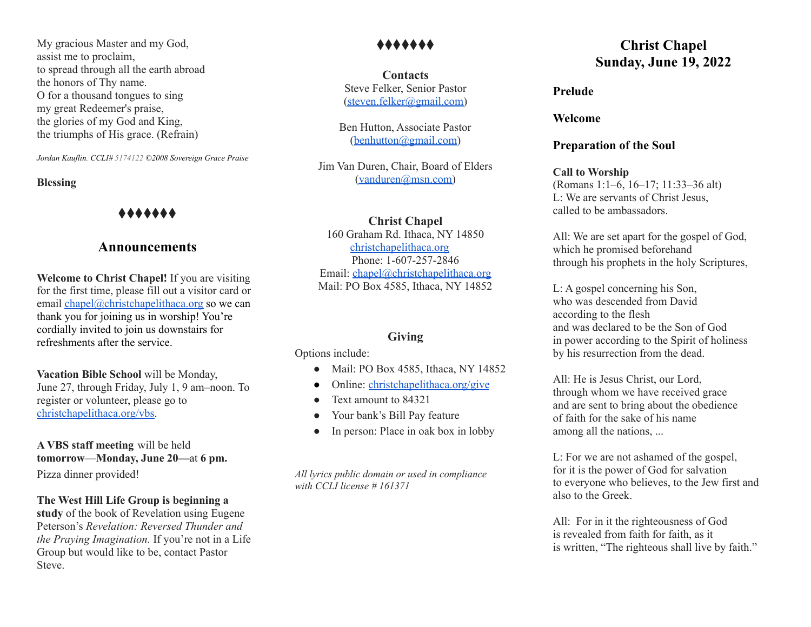My gracious Master and my God, assist me to proclaim, to spread through all the earth abroad the honors of Thy name. O for a thousand tongues to sing my great Redeemer's praise, the glories of my God and King, the triumphs of His grace. (Refrain)

*Jordan Kauflin. CCLI# 5174122 ©2008 Sovereign Grace Praise*

#### **Blessing**

## ⧫⧫⧫⧫⧫⧫⧫

## **Announcements**

**Welcome to Christ Chapel!** If you are visiting for the first time, please fill out a visitor card or email [chapel@christchapelithaca.org](mailto:chapel@christchapelithaca.org) so we can thank you for joining us in worship! You're cordially invited to join us downstairs for refreshments after the service.

**Vacation Bible School** will be Monday, June 27, through Friday, July 1, 9 am–noon. To register or volunteer, please go to [christchapelithaca.org/vbs.](http://christchapelithaca.org/vbs)

**A VBS staff meeting** will be held **tomorrow**—**Monday, June 20—**at **6 pm.** Pizza dinner provided!

#### **The West Hill Life Group is beginning a**

**study** of the book of Revelation using Eugene Peterson's *Revelation: Reversed Thunder and the Praying Imagination.* If you're not in a Life Group but would like to be, contact Pastor Steve.

## ⧫⧫⧫⧫⧫⧫⧫

**Contacts** Steve Felker, Senior Pastor [\(steven.felker@gmail.com\)](mailto:steven.felker@gmail.com)

Ben Hutton, Associate Pastor ([benhutton@gmail.com](mailto:benhutton@gmail.com))

Jim Van Duren, Chair, Board of Elders [\(vanduren@msn.com\)](mailto:vanduren@msn.com)

**Christ Chapel**

160 Graham Rd. Ithaca, NY 14850 [christchapelithaca.org](https://christchapelithaca.org/) Phone: 1-607-257-2846 Email: [chapel@christchapelithaca.org](mailto:chapel@christchapelithaca.org) Mail: PO Box 4585, Ithaca, NY 14852

### **Giving**

Options include:

- Mail: PO Box 4585, Ithaca, NY 14852
- Online: [christchapelithaca.org/give](https://christchapelithaca.org/give)
- Text amount to 84321
- Your bank's Bill Pay feature
- In person: Place in oak box in lobby

*All lyrics public domain or used in compliance with CCLI license # 161371*

# **Christ Chapel Sunday, June 19, 2022**

#### **Prelude**

**Welcome**

#### **Preparation of the Soul**

**Call to Worship** (Romans 1:1–6, 16–17; 11:33–36 alt) L: We are servants of Christ Jesus, called to be ambassadors.

All: We are set apart for the gospel of God, which he promised beforehand through his prophets in the holy Scriptures,

L: A gospel concerning his Son, who was descended from David according to the flesh and was declared to be the Son of God in power according to the Spirit of holiness by his resurrection from the dead.

All: He is Jesus Christ, our Lord, through whom we have received grace and are sent to bring about the obedience of faith for the sake of his name among all the nations, ...

L: For we are not ashamed of the gospel, for it is the power of God for salvation to everyone who believes, to the Jew first and also to the Greek.

All: For in it the righteousness of God is revealed from faith for faith, as it is written, "The righteous shall live by faith."